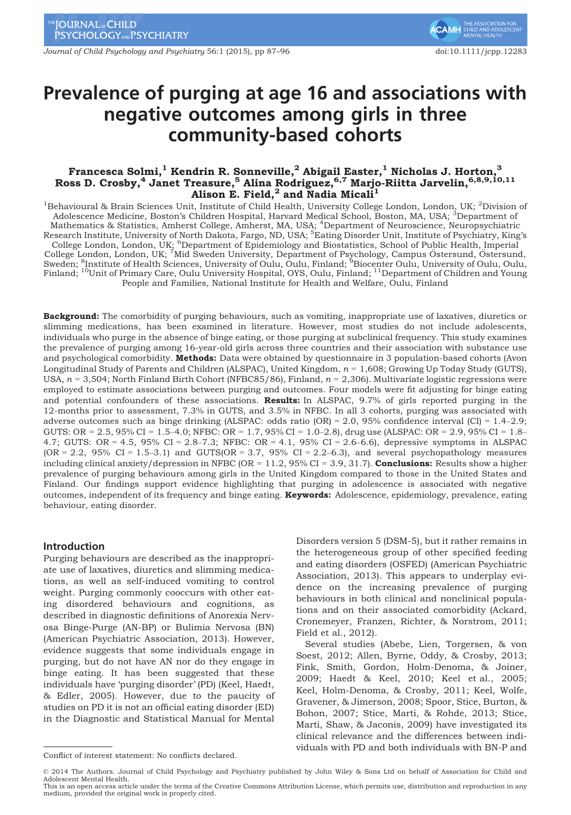Journal of Child Psychology and Psychiatry 56:1 (2015), pp 87–96 doi:10.1111/jcpp.12283

# Prevalence of purging at age 16 and associations with negative outcomes among girls in three community-based cohorts

## Francesca Solmi, $^1$  Kendrin R. Sonneville, $^2$  Abigail Easter, $^1$  Nicholas J. Horton, $^3$ Ross D. Crosby, $^4$  Janet Treasure, $^5$  Alina Rodriguez, $^{6,7}$  Marjo-Riitta Jarvelin, $^{6,8,9,10,11}$ Alison E. Field, $^2$  and Nadia Micali $^1$

<sup>1</sup>Behavioural & Brain Sciences Unit, Institute of Child Health, University College London, London, UK; <sup>2</sup>Division of Adolescence Medicine, Boston's Children Hospital, Harvard Medical School, Boston, MA, USA; <sup>3</sup>Department of Mathematics & Statistics, Amherst College, Amherst, MA, USA; <sup>4</sup>Department of Neuroscience, Neuropsychiatric Research Institute, University of North Dakota, Fargo, ND, USA; <sup>5</sup>Eating Disorder Unit, Institute of Psychiatry, King's College London, London, UK; <sup>6</sup>Department of Epidemiology and Biostatistics, School of Public Health, Imperial<br>College London, London, UK; <sup>7</sup>Mid Sweden University, Department of Psychology, Campus Östersund, Östersund, Sweden; <sup>8</sup>Institute of Health Sciences, University of Oulu, Oulu, Finland; <sup>9</sup>Biocenter Oulu, University of Oulu, Oulu, Finland; 10Unit of Primary Care, Oulu University Hospital, OYS, Oulu, Finland; 11Department of Children and Young People and Families, National Institute for Health and Welfare, Oulu, Finland

Background: The comorbidity of purging behaviours, such as vomiting, inappropriate use of laxatives, diuretics or slimming medications, has been examined in literature. However, most studies do not include adolescents, individuals who purge in the absence of binge eating, or those purging at subclinical frequency. This study examines the prevalence of purging among 16-year-old girls across three countries and their association with substance use and psychological comorbidity. Methods: Data were obtained by questionnaire in 3 population-based cohorts (Avon Longitudinal Study of Parents and Children (ALSPAC), United Kingdom,  $n = 1,608$ ; Growing Up Today Study (GUTS), USA,  $n = 3,504$ ; North Finland Birth Cohort (NFBC85/86), Finland,  $n = 2,306$ ). Multivariate logistic regressions were employed to estimate associations between purging and outcomes. Four models were fit adjusting for binge eating and potential confounders of these associations. Results: In ALSPAC, 9.7% of girls reported purging in the 12-months prior to assessment, 7.3% in GUTS, and 3.5% in NFBC. In all 3 cohorts, purging was associated with adverse outcomes such as binge drinking (ALSPAC: odds ratio  $(OR) = 2.0$ , 95% confidence interval  $(Cl) = 1.4-2.9$ ; GUTS: OR = 2.5, 95% CI = 1.5–4.0; NFBC: OR = 1.7, 95% CI = 1.0–2.8), drug use (ALSPAC: OR = 2.9, 95% CI = 1.8– 4.7; GUTS: OR = 4.5, 95% CI = 2.8–7.3; NFBC: OR = 4.1, 95% CI = 2.6–6.6), depressive symptoms in ALSPAC  $(OR = 2.2, 95\% \text{ CI} = 1.5-3.1)$  and GUTS( $OR = 3.7, 95\% \text{ CI} = 2.2-6.3$ ), and several psychopathology measures including clinical anxiety/depression in NFBC (OR = 11.2, 95% CI = 3.9, 31.7). **Conclusions:** Results show a higher prevalence of purging behaviours among girls in the United Kingdom compared to those in the United States and Finland. Our findings support evidence highlighting that purging in adolescence is associated with negative outcomes, independent of its frequency and binge eating. Keywords: Adolescence, epidemiology, prevalence, eating behaviour, eating disorder.

#### Introduction

Purging behaviours are described as the inappropriate use of laxatives, diuretics and slimming medications, as well as self-induced vomiting to control weight. Purging commonly cooccurs with other eating disordered behaviours and cognitions, as described in diagnostic definitions of Anorexia Nervosa Binge-Purge (AN-BP) or Bulimia Nervosa (BN) (American Psychiatric Association, 2013). However, evidence suggests that some individuals engage in purging, but do not have AN nor do they engage in binge eating. It has been suggested that these individuals have 'purging disorder' (PD) (Keel, Haedt, & Edler, 2005). However, due to the paucity of studies on PD it is not an official eating disorder (ED) in the Diagnostic and Statistical Manual for Mental

Disorders version 5 (DSM-5), but it rather remains in the heterogeneous group of other specified feeding and eating disorders (OSFED) (American Psychiatric Association, 2013). This appears to underplay evidence on the increasing prevalence of purging behaviours in both clinical and nonclinical populations and on their associated comorbidity (Ackard, Cronemeyer, Franzen, Richter, & Norstrom, 2011; Field et al., 2012).

Several studies (Abebe, Lien, Torgersen, & von Soest, 2012; Allen, Byrne, Oddy, & Crosby, 2013; Fink, Smith, Gordon, Holm-Denoma, & Joiner, 2009; Haedt & Keel, 2010; Keel et al., 2005; Keel, Holm-Denoma, & Crosby, 2011; Keel, Wolfe, Gravener, & Jimerson, 2008; Spoor, Stice, Burton, & Bohon, 2007; Stice, Marti, & Rohde, 2013; Stice, Marti, Shaw, & Jaconis, 2009) have investigated its clinical relevance and the differences between individuals with PD and both individuals with BN-P and

Conflict of interest statement: No conflicts declared.

<sup>©</sup> 2014 The Authors. Journal of Child Psychology and Psychiatry published by John Wiley & Sons Ltd on behalf of Association for Child and Adolescent Mental Health.

This is an open access article under the terms of the Creative Commons Attribution License, which permits use, distribution and reproduction in any medium, provided the original work is properly cited.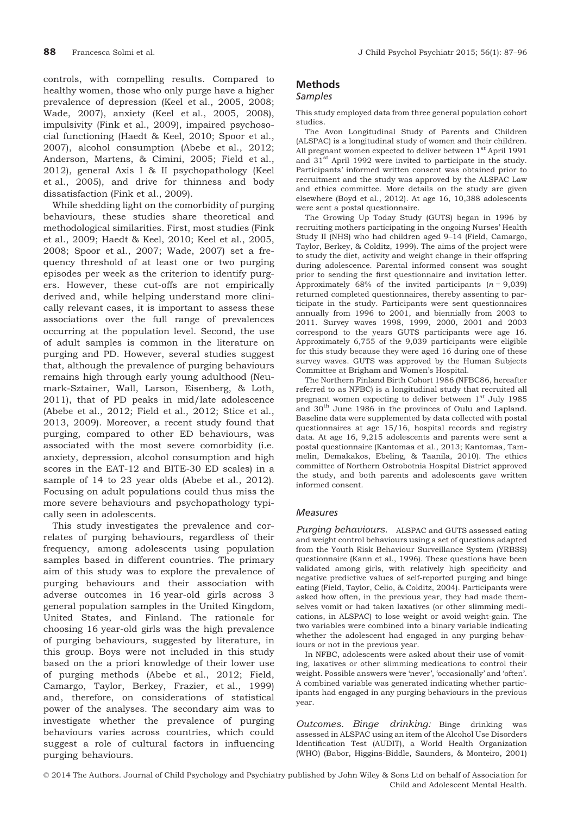controls, with compelling results. Compared to healthy women, those who only purge have a higher prevalence of depression (Keel et al., 2005, 2008; Wade, 2007), anxiety (Keel et al., 2005, 2008), impulsivity (Fink et al., 2009), impaired psychosocial functioning (Haedt & Keel, 2010; Spoor et al., 2007), alcohol consumption (Abebe et al., 2012; Anderson, Martens, & Cimini, 2005; Field et al., 2012), general Axis I & II psychopathology (Keel et al., 2005), and drive for thinness and body dissatisfaction (Fink et al., 2009).

While shedding light on the comorbidity of purging behaviours, these studies share theoretical and methodological similarities. First, most studies (Fink et al., 2009; Haedt & Keel, 2010; Keel et al., 2005, 2008; Spoor et al., 2007; Wade, 2007) set a frequency threshold of at least one or two purging episodes per week as the criterion to identify purgers. However, these cut-offs are not empirically derived and, while helping understand more clinically relevant cases, it is important to assess these associations over the full range of prevalences occurring at the population level. Second, the use of adult samples is common in the literature on purging and PD. However, several studies suggest that, although the prevalence of purging behaviours remains high through early young adulthood (Neumark-Sztainer, Wall, Larson, Eisenberg, & Loth, 2011), that of PD peaks in mid/late adolescence (Abebe et al., 2012; Field et al., 2012; Stice et al., 2013, 2009). Moreover, a recent study found that purging, compared to other ED behaviours, was associated with the most severe comorbidity (i.e. anxiety, depression, alcohol consumption and high scores in the EAT-12 and BITE-30 ED scales) in a sample of 14 to 23 year olds (Abebe et al., 2012). Focusing on adult populations could thus miss the more severe behaviours and psychopathology typically seen in adolescents.

This study investigates the prevalence and correlates of purging behaviours, regardless of their frequency, among adolescents using population samples based in different countries. The primary aim of this study was to explore the prevalence of purging behaviours and their association with adverse outcomes in 16 year-old girls across 3 general population samples in the United Kingdom, United States, and Finland. The rationale for choosing 16 year-old girls was the high prevalence of purging behaviours, suggested by literature, in this group. Boys were not included in this study based on the a priori knowledge of their lower use of purging methods (Abebe et al., 2012; Field, Camargo, Taylor, Berkey, Frazier, et al., 1999) and, therefore, on considerations of statistical power of the analyses. The secondary aim was to investigate whether the prevalence of purging behaviours varies across countries, which could suggest a role of cultural factors in influencing purging behaviours.

## Methods

## Samples

This study employed data from three general population cohort studies.

The Avon Longitudinal Study of Parents and Children (ALSPAC) is a longitudinal study of women and their children. All pregnant women expected to deliver between 1st April 1991 and 31<sup>st</sup> April 1992 were invited to participate in the study. Participants' informed written consent was obtained prior to recruitment and the study was approved by the ALSPAC Law and ethics committee. More details on the study are given elsewhere (Boyd et al., 2012). At age 16, 10,388 adolescents were sent a postal questionnaire.

The Growing Up Today Study (GUTS) began in 1996 by recruiting mothers participating in the ongoing Nurses' Health Study II (NHS) who had children aged 9–14 (Field, Camargo, Taylor, Berkey, & Colditz, 1999). The aims of the project were to study the diet, activity and weight change in their offspring during adolescence. Parental informed consent was sought prior to sending the first questionnaire and invitation letter. Approximately 68% of the invited participants  $(n = 9,039)$ returned completed questionnaires, thereby assenting to participate in the study. Participants were sent questionnaires annually from 1996 to 2001, and biennially from 2003 to 2011. Survey waves 1998, 1999, 2000, 2001 and 2003 correspond to the years GUTS participants were age 16. Approximately 6,755 of the 9,039 participants were eligible for this study because they were aged 16 during one of these survey waves. GUTS was approved by the Human Subjects Committee at Brigham and Women's Hospital.

The Northern Finland Birth Cohort 1986 (NFBC86, hereafter referred to as NFBC) is a longitudinal study that recruited all pregnant women expecting to deliver between  $1<sup>st</sup>$  July 1985 and 30<sup>th</sup> June 1986 in the provinces of Oulu and Lapland. Baseline data were supplemented by data collected with postal questionnaires at age 15/16, hospital records and registry data. At age 16, 9,215 adolescents and parents were sent a postal questionnaire (Kantomaa et al., 2013; Kantomaa, Tammelin, Demakakos, Ebeling, & Taanila, 2010). The ethics committee of Northern Ostrobotnia Hospital District approved the study, and both parents and adolescents gave written informed consent.

## Measures

Purging behaviours. ALSPAC and GUTS assessed eating and weight control behaviours using a set of questions adapted from the Youth Risk Behaviour Surveillance System (YRBSS) questionnaire (Kann et al., 1996). These questions have been validated among girls, with relatively high specificity and negative predictive values of self-reported purging and binge eating (Field, Taylor, Celio, & Colditz, 2004). Participants were asked how often, in the previous year, they had made themselves vomit or had taken laxatives (or other slimming medications, in ALSPAC) to lose weight or avoid weight-gain. The two variables were combined into a binary variable indicating whether the adolescent had engaged in any purging behaviours or not in the previous year.

In NFBC, adolescents were asked about their use of vomiting, laxatives or other slimming medications to control their weight. Possible answers were 'never', 'occasionally' and 'often'. A combined variable was generated indicating whether participants had engaged in any purging behaviours in the previous year.

Outcomes. Binge drinking: Binge drinking was assessed in ALSPAC using an item of the Alcohol Use Disorders Identification Test (AUDIT), a World Health Organization (WHO) (Babor, Higgins-Biddle, Saunders, & Monteiro, 2001)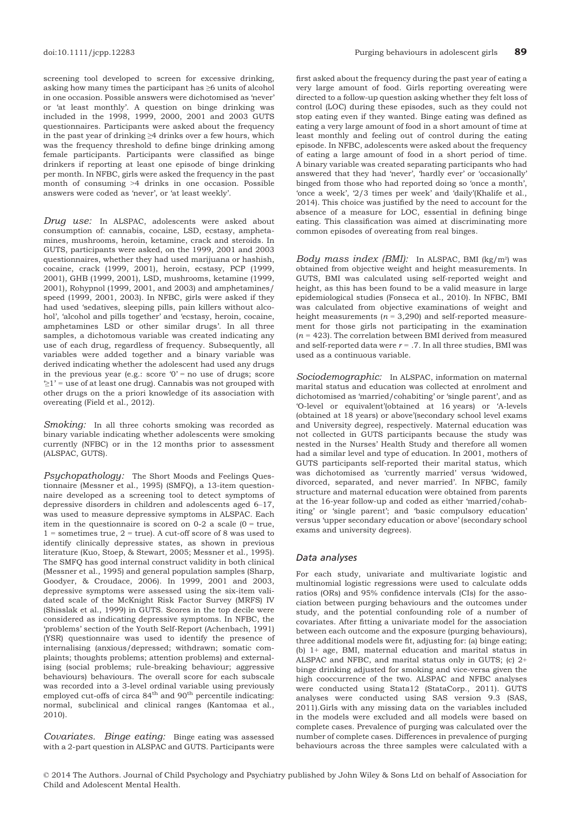screening tool developed to screen for excessive drinking, asking how many times the participant has ≥6 units of alcohol in one occasion. Possible answers were dichotomised as 'never' or 'at least monthly'. A question on binge drinking was included in the 1998, 1999, 2000, 2001 and 2003 GUTS questionnaires. Participants were asked about the frequency in the past year of drinking ≥4 drinks over a few hours, which was the frequency threshold to define binge drinking among female participants. Participants were classified as binge drinkers if reporting at least one episode of binge drinking per month. In NFBC, girls were asked the frequency in the past month of consuming >4 drinks in one occasion. Possible answers were coded as 'never', or 'at least weekly'.

Drug use: In ALSPAC, adolescents were asked about consumption of: cannabis, cocaine, LSD, ecstasy, amphetamines, mushrooms, heroin, ketamine, crack and steroids. In GUTS, participants were asked, on the 1999, 2001 and 2003 questionnaires, whether they had used marijuana or hashish, cocaine, crack (1999, 2001), heroin, ecstasy, PCP (1999, 2001), GHB (1999, 2001), LSD, mushrooms, ketamine (1999, 2001), Rohypnol (1999, 2001, and 2003) and amphetamines/ speed (1999, 2001, 2003). In NFBC, girls were asked if they had used 'sedatives, sleeping pills, pain killers without alcohol', 'alcohol and pills together' and 'ecstasy, heroin, cocaine, amphetamines LSD or other similar drugs'. In all three samples, a dichotomous variable was created indicating any use of each drug, regardless of frequency. Subsequently, all variables were added together and a binary variable was derived indicating whether the adolescent had used any drugs in the previous year (e.g.: score '0' = no use of drugs; score  $\geq$ 1' = use of at least one drug). Cannabis was not grouped with other drugs on the a priori knowledge of its association with overeating (Field et al., 2012).

Smoking: In all three cohorts smoking was recorded as binary variable indicating whether adolescents were smoking currently (NFBC) or in the 12 months prior to assessment (ALSPAC, GUTS).

Psychopathology: The Short Moods and Feelings Questionnaire (Messner et al., 1995) (SMFQ), a 13-item questionnaire developed as a screening tool to detect symptoms of depressive disorders in children and adolescents aged 6–17, was used to measure depressive symptoms in ALSPAC. Each item in the questionnaire is scored on  $0-2$  a scale  $(0 = true,$  $1 =$  sometimes true,  $2 =$  true). A cut-off score of 8 was used to identify clinically depressive states, as shown in previous literature (Kuo, Stoep, & Stewart, 2005; Messner et al., 1995). The SMFQ has good internal construct validity in both clinical (Messner et al., 1995) and general population samples (Sharp, Goodyer, & Croudace, 2006). In 1999, 2001 and 2003, depressive symptoms were assessed using the six-item validated scale of the McKnight Risk Factor Survey (MRFS) IV (Shisslak et al., 1999) in GUTS. Scores in the top decile were considered as indicating depressive symptoms. In NFBC, the 'problems' section of the Youth Self-Report (Achenbach, 1991) (YSR) questionnaire was used to identify the presence of internalising (anxious/depressed; withdrawn; somatic complaints; thoughts problems; attention problems) and externalising (social problems; rule-breaking behaviour; aggressive behaviours) behaviours. The overall score for each subscale was recorded into a 3-level ordinal variable using previously employed cut-offs of circa  $84^{\rm th}$  and  $90^{\rm th}$  percentile indicating: normal, subclinical and clinical ranges (Kantomaa et al., 2010).

Covariates. Binge eating: Binge eating was assessed with a 2-part question in ALSPAC and GUTS. Participants were

first asked about the frequency during the past year of eating a very large amount of food. Girls reporting overeating were directed to a follow-up question asking whether they felt loss of control (LOC) during these episodes, such as they could not stop eating even if they wanted. Binge eating was defined as eating a very large amount of food in a short amount of time at least monthly and feeling out of control during the eating episode. In NFBC, adolescents were asked about the frequency of eating a large amount of food in a short period of time. A binary variable was created separating participants who had answered that they had 'never', 'hardly ever' or 'occasionally' binged from those who had reported doing so 'once a month', 'once a week', '2/3 times per week' and 'daily'(Khalife et al., 2014). This choice was justified by the need to account for the absence of a measure for LOC, essential in defining binge eating. This classification was aimed at discriminating more common episodes of overeating from real binges.

Body mass index (BMI): In ALSPAC, BMI ( $\text{kg/m}^2$ ) was obtained from objective weight and height measurements. In GUTS, BMI was calculated using self-reported weight and height, as this has been found to be a valid measure in large epidemiological studies (Fonseca et al., 2010). In NFBC, BMI was calculated from objective examinations of weight and height measurements ( $n = 3,290$ ) and self-reported measurement for those girls not participating in the examination  $(n = 423)$ . The correlation between BMI derived from measured and self-reported data were  $r = .7$ . In all three studies, BMI was used as a continuous variable.

Sociodemographic: In ALSPAC, information on maternal marital status and education was collected at enrolment and dichotomised as 'married/cohabiting' or 'single parent', and as 'O-level or equivalent'(obtained at 16 years) or 'A-levels (obtained at 18 years) or above'(secondary school level exams and University degree), respectively. Maternal education was not collected in GUTS participants because the study was nested in the Nurses' Health Study and therefore all women had a similar level and type of education. In 2001, mothers of GUTS participants self-reported their marital status, which was dichotomised as 'currently married' versus 'widowed, divorced, separated, and never married'. In NFBC, family structure and maternal education were obtained from parents at the 16-year follow-up and coded as either 'married/cohabiting' or 'single parent'; and 'basic compulsory education' versus 'upper secondary education or above' (secondary school exams and university degrees).

#### Data analyses

For each study, univariate and multivariate logistic and multinomial logistic regressions were used to calculate odds ratios (ORs) and 95% confidence intervals (CIs) for the association between purging behaviours and the outcomes under study, and the potential confounding role of a number of covariates. After fitting a univariate model for the association between each outcome and the exposure (purging behaviours), three additional models were fit, adjusting for: (a) binge eating; (b) 1+ age, BMI, maternal education and marital status in ALSPAC and NFBC, and marital status only in GUTS; (c) 2+ binge drinking adjusted for smoking and vice-versa given the high cooccurrence of the two. ALSPAC and NFBC analyses were conducted using Stata12 (StataCorp., 2011). GUTS analyses were conducted using SAS version 9.3 (SAS, 2011).Girls with any missing data on the variables included in the models were excluded and all models were based on complete cases. Prevalence of purging was calculated over the number of complete cases. Differences in prevalence of purging behaviours across the three samples were calculated with a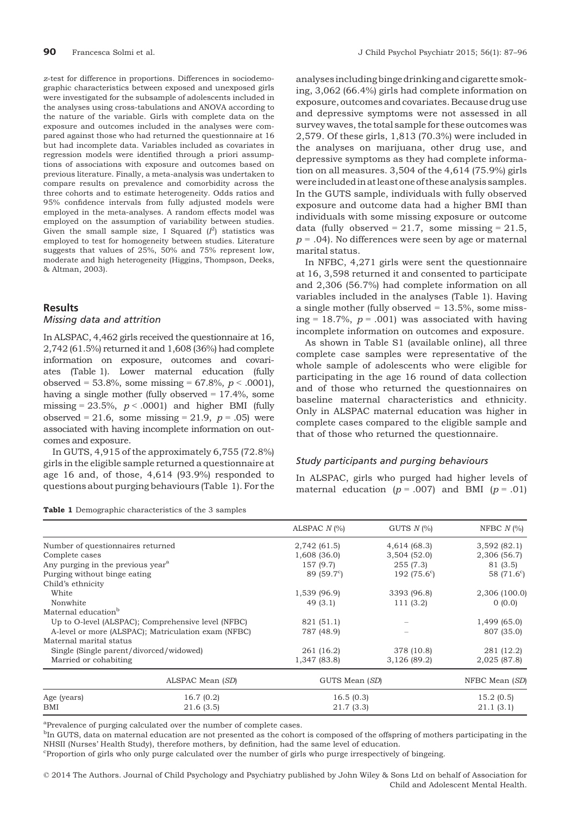z-test for difference in proportions. Differences in sociodemographic characteristics between exposed and unexposed girls were investigated for the subsample of adolescents included in the analyses using cross-tabulations and ANOVA according to the nature of the variable. Girls with complete data on the exposure and outcomes included in the analyses were compared against those who had returned the questionnaire at 16 but had incomplete data. Variables included as covariates in regression models were identified through a priori assumptions of associations with exposure and outcomes based on previous literature. Finally, a meta-analysis was undertaken to compare results on prevalence and comorbidity across the three cohorts and to estimate heterogeneity. Odds ratios and 95% confidence intervals from fully adjusted models were employed in the meta-analyses. A random effects model was employed on the assumption of variability between studies. Given the small sample size, I Squared  $(l^2)$  statistics was employed to test for homogeneity between studies. Literature suggests that values of 25%, 50% and 75% represent low, moderate and high heterogeneity (Higgins, Thompson, Deeks, & Altman, 2003).

## Results

#### Missing data and attrition

In ALSPAC, 4,462 girls received the questionnaire at 16, 2,742 (61.5%) returned it and 1,608 (36%) had complete information on exposure, outcomes and covariates (Table 1). Lower maternal education (fully observed = 53.8%, some missing = 67.8%,  $p < .0001$ ), having a single mother (fully observed = 17.4%, some missing =  $23.5\%$ ,  $p < .0001$ ) and higher BMI (fully observed = 21.6, some missing = 21.9,  $p = .05$ ) were associated with having incomplete information on outcomes and exposure.

In GUTS, 4,915 of the approximately 6,755 (72.8%) girls in the eligible sample returned a questionnaire at age 16 and, of those, 4,614 (93.9%) responded to questions about purging behaviours (Table 1). For the

| <b>Table 1</b> Demographic characteristics of the 3 samples |  |
|-------------------------------------------------------------|--|
|-------------------------------------------------------------|--|

analyses including binge drinking and cigarette smoking, 3,062 (66.4%) girls had complete information on exposure, outcomes and covariates. Because drug use and depressive symptoms were not assessed in all survey waves, the total sample for these outcomes was 2,579. Of these girls, 1,813 (70.3%) were included in the analyses on marijuana, other drug use, and depressive symptoms as they had complete information on all measures. 3,504 of the 4,614 (75.9%) girls were included in at least one of these analysis samples. In the GUTS sample, individuals with fully observed exposure and outcome data had a higher BMI than individuals with some missing exposure or outcome data (fully observed =  $21.7$ , some missing =  $21.5$ ,  $p = .04$ ). No differences were seen by age or maternal marital status.

In NFBC, 4,271 girls were sent the questionnaire at 16, 3,598 returned it and consented to participate and 2,306 (56.7%) had complete information on all variables included in the analyses (Table 1). Having a single mother (fully observed  $= 13.5\%$ , some missing = 18.7%,  $p = .001$ ) was associated with having incomplete information on outcomes and exposure.

As shown in Table S1 (available online), all three complete case samples were representative of the whole sample of adolescents who were eligible for participating in the age 16 round of data collection and of those who returned the questionnaires on baseline maternal characteristics and ethnicity. Only in ALSPAC maternal education was higher in complete cases compared to the eligible sample and that of those who returned the questionnaire.

#### Study participants and purging behaviours

In ALSPAC, girls who purged had higher levels of maternal education ( $p = .007$ ) and BMI ( $p = .01$ )

|                                                     | ALSPAC $N$ $\left(\% \right)$ | GUTS $N$ (%)         | NFBC $N$ $\left(\% \right)$ |  |
|-----------------------------------------------------|-------------------------------|----------------------|-----------------------------|--|
| Number of questionnaires returned                   | 2,742 (61.5)                  | 4,614(68.3)          | 3,592(82.1)                 |  |
| Complete cases                                      | 1,608 (36.0)                  | 3,504(52.0)          | 2,306 (56.7)                |  |
| Any purging in the previous year <sup>a</sup>       | 157 (9.7)                     | 255(7.3)             | 81 (3.5)                    |  |
| Purging without binge eating                        | 89 $(59.7^{\circ})$           | 192 $(75.6^{\circ})$ | 58 $(71.6^{\circ})$         |  |
| Child's ethnicity                                   |                               |                      |                             |  |
| White                                               | 1,539 (96.9)                  | 3393 (96.8)          | 2,306 (100.0)               |  |
| Nonwhite                                            | 49(3.1)                       | 111(3.2)             | 0(0.0)                      |  |
| Maternal education <sup>b</sup>                     |                               |                      |                             |  |
| Up to O-level (ALSPAC); Comprehensive level (NFBC)  | 821 (51.1)                    |                      | 1,499 (65.0)                |  |
| A-level or more (ALSPAC); Matriculation exam (NFBC) | 787 (48.9)                    |                      | 807 (35.0)                  |  |
| Maternal marital status                             |                               |                      |                             |  |
| Single (Single parent/divorced/widowed)             | 261 (16.2)                    | 378 (10.8)           | 281 (12.2)                  |  |
| Married or cohabiting                               | 1,347 (83.8)                  | 3,126(89.2)          | 2,025 (87.8)                |  |
| ALSPAC Mean (SD)                                    | GUTS Mean (SD)                |                      | NFBC Mean (SD)              |  |
| Age (years)<br>16.7(0.2)                            |                               | 16.5(0.3)            |                             |  |
| 21.6(3.5)<br>BMI                                    |                               | 21.7 (3.3)           |                             |  |

<sup>a</sup>Prevalence of purging calculated over the number of complete cases.

<sup>b</sup>In GUTS, data on maternal education are not presented as the cohort is composed of the offspring of mothers participating in the NHSII (Nurses' Health Study), therefore mothers, by definition, had the same level of education.

c Proportion of girls who only purge calculated over the number of girls who purge irrespectively of bingeing.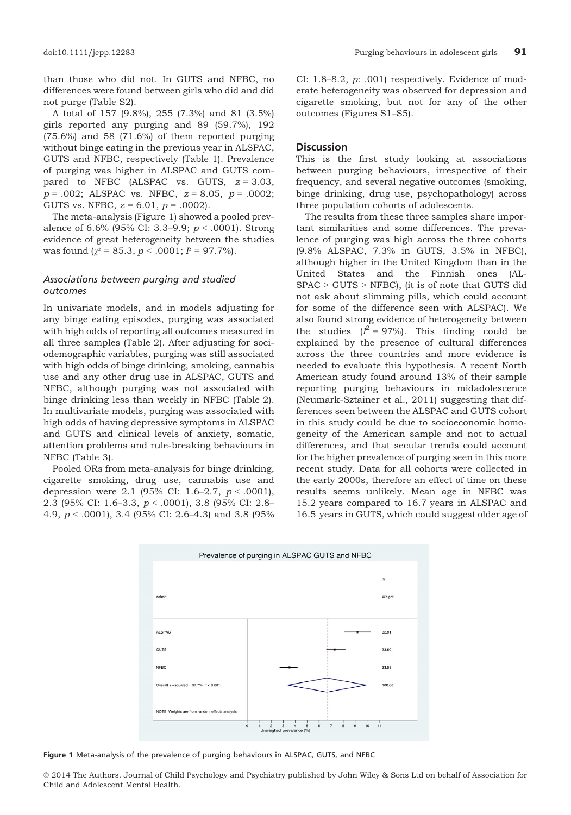than those who did not. In GUTS and NFBC, no differences were found between girls who did and did not purge (Table S2).

A total of 157 (9.8%), 255 (7.3%) and 81 (3.5%) girls reported any purging and 89 (59.7%), 192 (75.6%) and 58 (71.6%) of them reported purging without binge eating in the previous year in ALSPAC, GUTS and NFBC, respectively (Table 1). Prevalence of purging was higher in ALSPAC and GUTS compared to NFBC (ALSPAC vs. GUTS,  $z = 3.03$ ,  $p = .002$ ; ALSPAC vs. NFBC,  $z = 8.05$ ,  $p = .0002$ ; GUTS vs. NFBC,  $z = 6.01$ ,  $p = .0002$ ).

The meta-analysis (Figure 1) showed a pooled prevalence of 6.6% (95% CI: 3.3–9.9;  $p < .0001$ ). Strong evidence of great heterogeneity between the studies was found  $\left(\chi^2 = 85.3, p < .0001; P = 97.7\% \right)$ .

## Associations between purging and studied outcomes

In univariate models, and in models adjusting for any binge eating episodes, purging was associated with high odds of reporting all outcomes measured in all three samples (Table 2). After adjusting for sociodemographic variables, purging was still associated with high odds of binge drinking, smoking, cannabis use and any other drug use in ALSPAC, GUTS and NFBC, although purging was not associated with binge drinking less than weekly in NFBC (Table 2). In multivariate models, purging was associated with high odds of having depressive symptoms in ALSPAC and GUTS and clinical levels of anxiety, somatic, attention problems and rule-breaking behaviours in NFBC (Table 3).

Pooled ORs from meta-analysis for binge drinking, cigarette smoking, drug use, cannabis use and depression were 2.1 (95% CI: 1.6–2.7,  $p < .0001$ ), 2.3 (95% CI: 1.6–3.3, p < .0001), 3.8 (95% CI: 2.8– 4.9, p < .0001), 3.4 (95% CI: 2.6–4.3) and 3.8 (95%

CI: 1.8–8.2, p: .001) respectively. Evidence of moderate heterogeneity was observed for depression and cigarette smoking, but not for any of the other outcomes (Figures S1–S5).

## **Discussion**

This is the first study looking at associations between purging behaviours, irrespective of their frequency, and several negative outcomes (smoking, binge drinking, drug use, psychopathology) across three population cohorts of adolescents.

The results from these three samples share important similarities and some differences. The prevalence of purging was high across the three cohorts (9.8% ALSPAC, 7.3% in GUTS, 3.5% in NFBC), although higher in the United Kingdom than in the United States and the Finnish ones (AL-SPAC > GUTS > NFBC), (it is of note that GUTS did not ask about slimming pills, which could account for some of the difference seen with ALSPAC). We also found strong evidence of heterogeneity between the studies ( $l^2 = 97\%$ ). This finding could be explained by the presence of cultural differences across the three countries and more evidence is needed to evaluate this hypothesis. A recent North American study found around 13% of their sample reporting purging behaviours in midadolescence (Neumark-Sztainer et al., 2011) suggesting that differences seen between the ALSPAC and GUTS cohort in this study could be due to socioeconomic homogeneity of the American sample and not to actual differences, and that secular trends could account for the higher prevalence of purging seen in this more recent study. Data for all cohorts were collected in the early 2000s, therefore an effect of time on these results seems unlikely. Mean age in NFBC was 15.2 years compared to 16.7 years in ALSPAC and 16.5 years in GUTS, which could suggest older age of



Figure 1 Meta-analysis of the prevalence of purging behaviours in ALSPAC, GUTS, and NFBC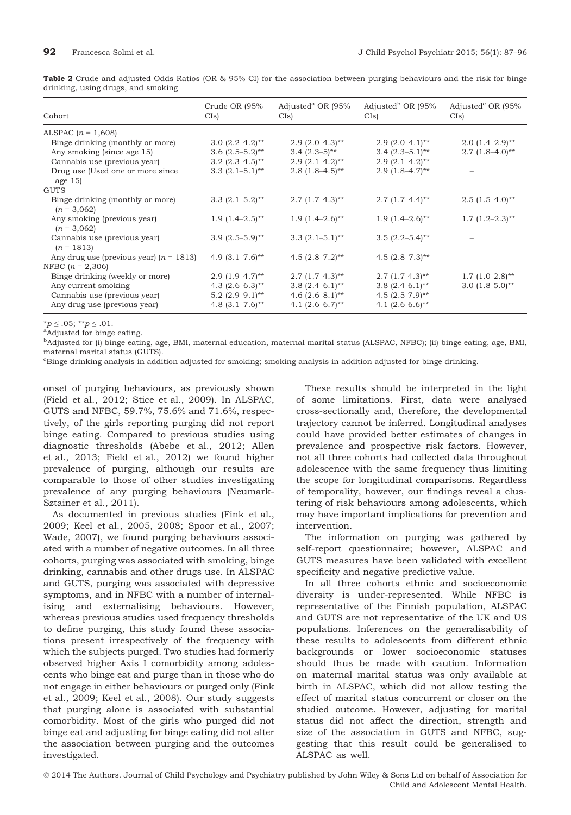Table 2 Crude and adjusted Odds Ratios (OR & 95% CI) for the association between purging behaviours and the risk for binge drinking, using drugs, and smoking

| Cohort                                                          | Crude OR (95%<br>CIs)           | Adjusted <sup>a</sup> OR (95%<br>CIs) | Adjusted <sup>b</sup> OR (95%<br>CIs) | Adjusted <sup>c</sup> OR (95%<br>C[s] |
|-----------------------------------------------------------------|---------------------------------|---------------------------------------|---------------------------------------|---------------------------------------|
| ALSPAC $(n = 1,608)$                                            |                                 |                                       |                                       |                                       |
| Binge drinking (monthly or more)                                | $3.0 (2.2 - 4.2)$ **            | $2.9(2.0-4.3)$ **                     | $2.9(2.0-4.1)$ **                     | $2.0(1.4-2.9)$ **                     |
| Any smoking (since age 15)                                      | $3.6$ (2.5–5.2) <sup>**</sup>   | $3.4(2.3-5)$ **                       | $3.4(2.3-5.1)$ **                     | $2.7(1.8-4.0)$ **                     |
| Cannabis use (previous year)                                    | $3.2$ (2.3–4.5) <sup>**</sup>   | $2.9(2.1-4.2)$ **                     | $2.9(2.1-4.2)$ **                     |                                       |
| Drug use (Used one or more since<br>age $15$                    | $3.3(2.1-5.1)$ **               | $2.8(1.8-4.5)$ **                     | $2.9(1.8-4.7)$ **                     |                                       |
| <b>GUTS</b>                                                     |                                 |                                       |                                       |                                       |
| Binge drinking (monthly or more)<br>$(n = 3,062)$               | $3.3(2.1-5.2)$ **               | $2.7(1.7-4.3)$ **                     | $2.7(1.7-4.4)$ **                     | $2.5(1.5-4.0)$ **                     |
| Any smoking (previous year)<br>$(n = 3,062)$                    | $1.9(1.4-2.5)$ **               | $1.9(1.4-2.6)$ <sup>**</sup>          | $1.9(1.4-2.6)$ <sup>**</sup>          | $1.7(1.2-2.3)$ **                     |
| Cannabis use (previous year)<br>$(n = 1813)$                    | $3.9(2.5-5.9)$ **               | $3.3(2.1-5.1)$ **                     | $3.5(2.2-5.4)$ **                     |                                       |
| Any drug use (previous year) $(n = 1813)$<br>NFBC $(n = 2,306)$ | 4.9 $(3.1–7.6)$ <sup>**</sup>   | $4.5(2.8 - 7.2)$ **                   | 4.5 $(2.8-7.3)$ <sup>**</sup>         |                                       |
| Binge drinking (weekly or more)                                 | $2.9(1.9-4.7)$ **               | $2.7(1.7-4.3)$ **                     | $2.7(1.7-4.3)$ **                     | $1.7(1.0-2.8)$ <sup>**</sup>          |
| Any current smoking                                             | 4.3 $(2.6-6.3)$ **              | $3.8(2.4-6.1)$ **                     | $3.8(2.4-6.1)$ **                     | $3.0(1.8-5.0)$ **                     |
| Cannabis use (previous year)                                    | $5.2 (2.9 - 9.1)$ **            | 4.6 $(2.6-8.1)$ **                    | $4.5(2.5-7.9)$ **                     |                                       |
| Any drug use (previous year)                                    | 4.8 $(3.1 - 7.6)$ <sup>**</sup> | 4.1 $(2.6-6.7)$ **                    | 4.1 $(2.6-6.6)$ **                    |                                       |

 $**p* ≤ .05; ***p* ≤ .01.$ 

<sup>a</sup>Adjusted for binge eating.

<sup>b</sup>Adjusted for (i) binge eating, age, BMI, maternal education, maternal marital status (ALSPAC, NFBC); (ii) binge eating, age, BMI, maternal marital status (GUTS).

c Binge drinking analysis in addition adjusted for smoking; smoking analysis in addition adjusted for binge drinking.

onset of purging behaviours, as previously shown (Field et al., 2012; Stice et al., 2009). In ALSPAC, GUTS and NFBC, 59.7%, 75.6% and 71.6%, respectively, of the girls reporting purging did not report binge eating. Compared to previous studies using diagnostic thresholds (Abebe et al., 2012; Allen et al., 2013; Field et al., 2012) we found higher prevalence of purging, although our results are comparable to those of other studies investigating prevalence of any purging behaviours (Neumark-Sztainer et al., 2011).

As documented in previous studies (Fink et al., 2009; Keel et al., 2005, 2008; Spoor et al., 2007; Wade, 2007), we found purging behaviours associated with a number of negative outcomes. In all three cohorts, purging was associated with smoking, binge drinking, cannabis and other drugs use. In ALSPAC and GUTS, purging was associated with depressive symptoms, and in NFBC with a number of internalising and externalising behaviours. However, whereas previous studies used frequency thresholds to define purging, this study found these associations present irrespectively of the frequency with which the subjects purged. Two studies had formerly observed higher Axis I comorbidity among adolescents who binge eat and purge than in those who do not engage in either behaviours or purged only (Fink et al., 2009; Keel et al., 2008). Our study suggests that purging alone is associated with substantial comorbidity. Most of the girls who purged did not binge eat and adjusting for binge eating did not alter the association between purging and the outcomes investigated.

These results should be interpreted in the light of some limitations. First, data were analysed cross-sectionally and, therefore, the developmental trajectory cannot be inferred. Longitudinal analyses could have provided better estimates of changes in prevalence and prospective risk factors. However, not all three cohorts had collected data throughout adolescence with the same frequency thus limiting the scope for longitudinal comparisons. Regardless of temporality, however, our findings reveal a clustering of risk behaviours among adolescents, which may have important implications for prevention and intervention.

The information on purging was gathered by self-report questionnaire; however, ALSPAC and GUTS measures have been validated with excellent specificity and negative predictive value.

In all three cohorts ethnic and socioeconomic diversity is under-represented. While NFBC is representative of the Finnish population, ALSPAC and GUTS are not representative of the UK and US populations. Inferences on the generalisability of these results to adolescents from different ethnic backgrounds or lower socioeconomic statuses should thus be made with caution. Information on maternal marital status was only available at birth in ALSPAC, which did not allow testing the effect of marital status concurrent or closer on the studied outcome. However, adjusting for marital status did not affect the direction, strength and size of the association in GUTS and NFBC, suggesting that this result could be generalised to ALSPAC as well.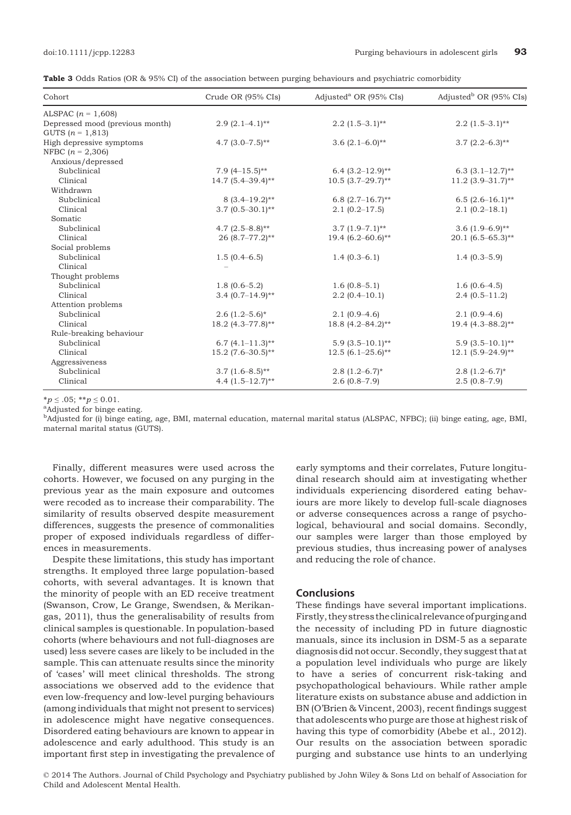|  |  | <b>Table 3</b> Odds Ratios (OR & 95% CI) of the association between purging behaviours and psychiatric comorbidity |  |  |  |
|--|--|--------------------------------------------------------------------------------------------------------------------|--|--|--|
|  |  |                                                                                                                    |  |  |  |

| Cohort                          | Crude OR (95% CIs)    | Adjusted <sup>a</sup> OR $(95\% \text{ CIs})$ | Adjusted <sup>b</sup> OR (95% CIs) |
|---------------------------------|-----------------------|-----------------------------------------------|------------------------------------|
| ALSPAC $(n = 1,608)$            |                       |                                               |                                    |
| Depressed mood (previous month) | $2.9(2.1-4.1)$ **     | $2.2(1.5-3.1)$ **                             | $2.2(1.5-3.1)$ **                  |
| GUTS $(n = 1, 813)$             |                       |                                               |                                    |
| High depressive symptoms        | 4.7 $(3.0 - 7.5)$ **  | 3.6 $(2.1 - 6.0)$ **                          | $3.7(2.2 - 6.3)$ **                |
| NFBC $(n = 2,306)$              |                       |                                               |                                    |
| Anxious/depressed               |                       |                                               |                                    |
| Subclinical                     | $7.9(4-15.5)$ **      | 6.4 $(3.2-12.9)$ **                           | 6.3 $(3.1-12.7)$ **                |
| Clinical                        | $14.7(5.4-39.4)$ **   | $10.5$ $(3.7-29.7)$ **                        | $11.2$ (3.9–31.7)**                |
| Withdrawn                       |                       |                                               |                                    |
| Subclinical                     | $8(3.4-19.2)$ **      | 6.8 $(2.7-16.7)$ **                           | $6.5(2.6-16.1)$ **                 |
| Clinical                        | $3.7(0.5-30.1)$ **    | $2.1(0.2 - 17.5)$                             | $2.1(0.2-18.1)$                    |
| Somatic                         |                       |                                               |                                    |
| Subclinical                     | 4.7 $(2.5-8.8)$ **    | $3.7(1.9-7.1)$ **                             | 3.6 $(1.9-6.9)$ **                 |
| Clinical                        | $26(8.7-77.2)$ **     | 19.4 $(6.2 - 60.6)$ **                        | $20.1(6.5-65.3)$ **                |
| Social problems                 |                       |                                               |                                    |
| Subclinical                     | $1.5(0.4-6.5)$        | $1.4(0.3-6.1)$                                | $1.4(0.3-5.9)$                     |
| Clinical                        |                       |                                               |                                    |
| Thought problems                |                       |                                               |                                    |
| Subclinical                     | $1.8(0.6-5.2)$        | $1.6(0.8-5.1)$                                | $1.6(0.6-4.5)$                     |
| Clinical                        | 3.4 $(0.7-14.9)$ **   | $2.2(0.4-10.1)$                               | $2.4(0.5-11.2)$                    |
| Attention problems              |                       |                                               |                                    |
| Subclinical                     | $2.6(1.2-5.6)^{*}$    | $2.1(0.9-4.6)$                                | $2.1(0.9-4.6)$                     |
| Clinical                        | 18.2 $(4.3-77.8)$ **  | 18.8 $(4.2 - 84.2)$ **                        | 19.4 (4.3-88.2)**                  |
| Rule-breaking behaviour         |                       |                                               |                                    |
| Subclinical                     | 6.7 $(4.1 - 11.3)$ ** | $5.9(3.5-10.1)$ **                            | $5.9(3.5-10.1)$ **                 |
| Clinical                        | $15.2$ (7.6-30.5)**   | 12.5 $(6.1 - 25.6)$ **                        | 12.1 $(5.9-24.9)$ **               |
| Aggressiveness                  |                       |                                               |                                    |
| Subclinical                     | $3.7(1.6-8.5)$ **     | $2.8(1.2-6.7)^{*}$                            | 2.8 $(1.2 - 6.7)^*$                |
| Clinical                        | 4.4 $(1.5-12.7)$ **   | $2.6(0.8-7.9)$                                | $2.5(0.8-7.9)$                     |

 $**p* \le .05; ***p* \le 0.01.$ 

<sup>a</sup>Adjusted for binge eating.

<sup>b</sup>Adjusted for (i) binge eating, age, BMI, maternal education, maternal marital status (ALSPAC, NFBC); (ii) binge eating, age, BMI, maternal marital status (GUTS).

Finally, different measures were used across the cohorts. However, we focused on any purging in the previous year as the main exposure and outcomes were recoded as to increase their comparability. The similarity of results observed despite measurement differences, suggests the presence of commonalities proper of exposed individuals regardless of differences in measurements.

Despite these limitations, this study has important strengths. It employed three large population-based cohorts, with several advantages. It is known that the minority of people with an ED receive treatment (Swanson, Crow, Le Grange, Swendsen, & Merikangas, 2011), thus the generalisability of results from clinical samples is questionable. In population-based cohorts (where behaviours and not full-diagnoses are used) less severe cases are likely to be included in the sample. This can attenuate results since the minority of 'cases' will meet clinical thresholds. The strong associations we observed add to the evidence that even low-frequency and low-level purging behaviours (among individuals that might not present to services) in adolescence might have negative consequences. Disordered eating behaviours are known to appear in adolescence and early adulthood. This study is an important first step in investigating the prevalence of

early symptoms and their correlates, Future longitudinal research should aim at investigating whether individuals experiencing disordered eating behaviours are more likely to develop full-scale diagnoses or adverse consequences across a range of psychological, behavioural and social domains. Secondly, our samples were larger than those employed by previous studies, thus increasing power of analyses and reducing the role of chance.

### **Conclusions**

These findings have several important implications. Firstly, they stress the clinical relevanceofpurgingand the necessity of including PD in future diagnostic manuals, since its inclusion in DSM-5 as a separate diagnosis did not occur. Secondly, they suggest that at a population level individuals who purge are likely to have a series of concurrent risk-taking and psychopathological behaviours. While rather ample literature exists on substance abuse and addiction in BN (O'Brien & Vincent, 2003), recent findings suggest that adolescents who purge are those at highest risk of having this type of comorbidity (Abebe et al., 2012). Our results on the association between sporadic purging and substance use hints to an underlying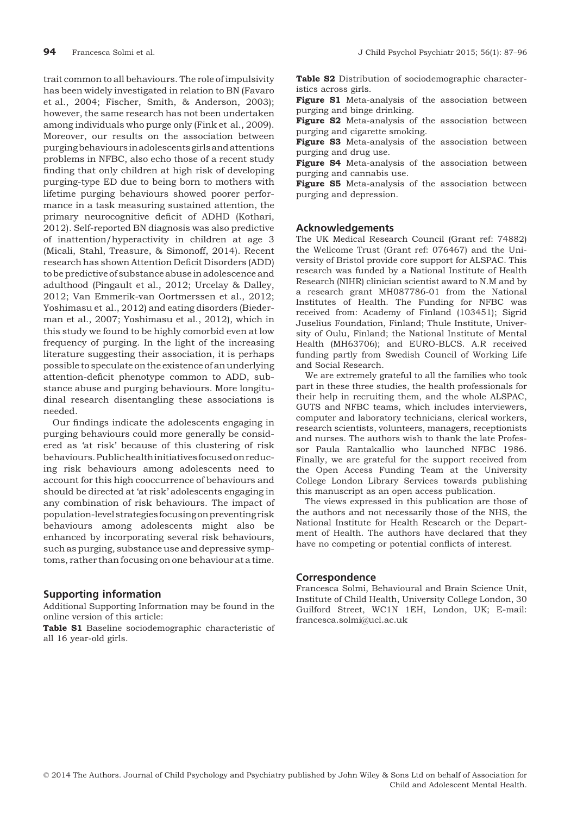trait common to all behaviours. The role of impulsivity has been widely investigated in relation to BN (Favaro et al., 2004; Fischer, Smith, & Anderson, 2003); however, the same research has not been undertaken among individuals who purge only (Fink et al., 2009). Moreover, our results on the association between purgingbehaviours in adolescents girls and attentions problems in NFBC, also echo those of a recent study finding that only children at high risk of developing purging-type ED due to being born to mothers with lifetime purging behaviours showed poorer performance in a task measuring sustained attention, the primary neurocognitive deficit of ADHD (Kothari, 2012). Self-reported BN diagnosis was also predictive of inattention/hyperactivity in children at age 3 (Micali, Stahl, Treasure, & Simonoff, 2014). Recent research has shown Attention Deficit Disorders (ADD) to be predictive of substance abuse in adolescence and adulthood (Pingault et al., 2012; Urcelay & Dalley, 2012; Van Emmerik-van Oortmerssen et al., 2012; Yoshimasu et al., 2012) and eating disorders (Biederman et al., 2007; Yoshimasu et al., 2012), which in this study we found to be highly comorbid even at low frequency of purging. In the light of the increasing literature suggesting their association, it is perhaps possible to speculate on the existence of an underlying attention-deficit phenotype common to ADD, substance abuse and purging behaviours. More longitudinal research disentangling these associations is needed.

Our findings indicate the adolescents engaging in purging behaviours could more generally be considered as 'at risk' because of this clustering of risk behaviours.Publichealth initiatives focused on reducing risk behaviours among adolescents need to account for this high cooccurrence of behaviours and should be directed at 'at risk' adolescents engaging in any combination of risk behaviours. The impact of population-level strategies focusing onpreventing risk behaviours among adolescents might also be enhanced by incorporating several risk behaviours, such as purging, substance use and depressive symptoms, rather than focusing on one behaviour at a time.

## Supporting information

Additional Supporting Information may be found in the online version of this article:

Table S1 Baseline sociodemographic characteristic of all 16 year-old girls.

Table S2 Distribution of sociodemographic characteristics across girls.

Figure S1 Meta-analysis of the association between purging and binge drinking.

Figure S2 Meta-analysis of the association between purging and cigarette smoking.

Figure S3 Meta-analysis of the association between purging and drug use.

Figure S4 Meta-analysis of the association between purging and cannabis use.

Figure S5 Meta-analysis of the association between purging and depression.

## Acknowledgements

The UK Medical Research Council (Grant ref: 74882) the Wellcome Trust (Grant ref: 076467) and the University of Bristol provide core support for ALSPAC. This research was funded by a National Institute of Health Research (NIHR) clinician scientist award to N.M and by a research grant MH087786-01 from the National Institutes of Health. The Funding for NFBC was received from: Academy of Finland (103451); Sigrid Juselius Foundation, Finland; Thule Institute, University of Oulu, Finland; the National Institute of Mental Health (MH63706); and EURO-BLCS. A.R received funding partly from Swedish Council of Working Life and Social Research.

We are extremely grateful to all the families who took part in these three studies, the health professionals for their help in recruiting them, and the whole ALSPAC, GUTS and NFBC teams, which includes interviewers, computer and laboratory technicians, clerical workers, research scientists, volunteers, managers, receptionists and nurses. The authors wish to thank the late Professor Paula Rantakallio who launched NFBC 1986. Finally, we are grateful for the support received from the Open Access Funding Team at the University College London Library Services towards publishing this manuscript as an open access publication.

The views expressed in this publication are those of the authors and not necessarily those of the NHS, the National Institute for Health Research or the Department of Health. The authors have declared that they have no competing or potential conflicts of interest.

#### Correspondence

Francesca Solmi, Behavioural and Brain Science Unit, Institute of Child Health, University College London, 30 Guilford Street, WC1N 1EH, London, UK; E-mail: francesca.solmi@ucl.ac.uk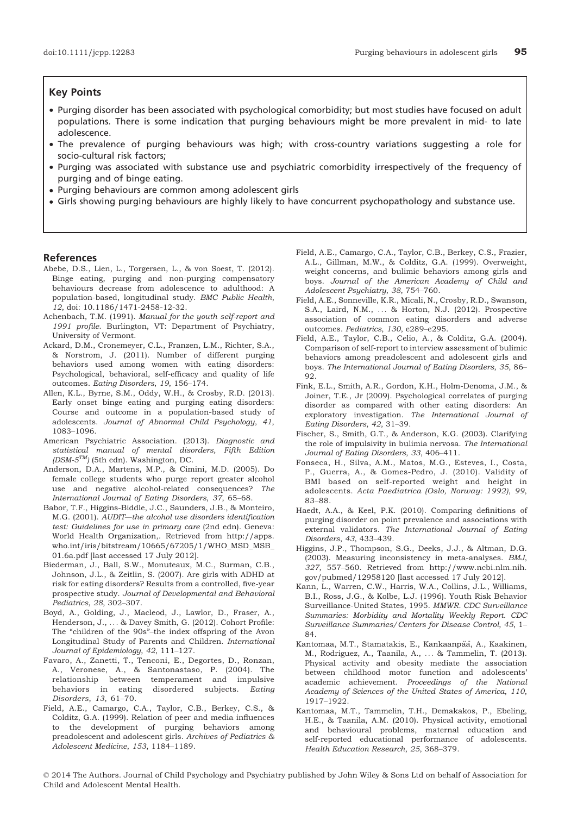## Key Points

- Purging disorder has been associated with psychological comorbidity; but most studies have focused on adult populations. There is some indication that purging behaviours might be more prevalent in mid- to late adolescence.
- The prevalence of purging behaviours was high; with cross-country variations suggesting a role for socio-cultural risk factors;
- Purging was associated with substance use and psychiatric comorbidity irrespectively of the frequency of purging and of binge eating.
- Purging behaviours are common among adolescent girls
- Girls showing purging behaviours are highly likely to have concurrent psychopathology and substance use.

#### References

- Abebe, D.S., Lien, L., Torgersen, L., & von Soest, T. (2012). Binge eating, purging and non-purging compensatory behaviours decrease from adolescence to adulthood: A population-based, longitudinal study. BMC Public Health, 12, doi: 10.1186/1471-2458-12-32.
- Achenbach, T.M. (1991). Manual for the youth self-report and 1991 profile. Burlington, VT: Department of Psychiatry, University of Vermont.
- Ackard, D.M., Cronemeyer, C.L., Franzen, L.M., Richter, S.A., & Norstrom, J. (2011). Number of different purging behaviors used among women with eating disorders: Psychological, behavioral, self-efficacy and quality of life outcomes. Eating Disorders, 19, 156–174.
- Allen, K.L., Byrne, S.M., Oddy, W.H., & Crosby, R.D. (2013). Early onset binge eating and purging eating disorders: Course and outcome in a population-based study of adolescents. Journal of Abnormal Child Psychology, 41, 1083–1096.
- American Psychiatric Association. (2013). Diagnostic and statistical manual of mental disorders, Fifth Edition  $(DSM-5^{TM})$  (5th edn). Washington, DC.
- Anderson, D.A., Martens, M.P., & Cimini, M.D. (2005). Do female college students who purge report greater alcohol use and negative alcohol-related consequences? The International Journal of Eating Disorders, 37, 65–68.
- Babor, T.F., Higgins-Biddle, J.C., Saunders, J.B., & Monteiro, M.G. (2001). AUDIT—the alcohol use disorders identification test: Guidelines for use in primary care (2nd edn). Geneva: World Health Organization,. Retrieved from http://apps. who.int/iris/bitstream/10665/67205/1/WHO\_MSD\_MSB\_ 01.6a.pdf [last accessed 17 July 2012].
- Biederman, J., Ball, S.W., Monuteaux, M.C., Surman, C.B., Johnson, J.L., & Zeitlin, S. (2007). Are girls with ADHD at risk for eating disorders? Results from a controlled, five-year prospective study. Journal of Developmental and Behavioral Pediatrics, 28, 302–307.
- Boyd, A., Golding, J., Macleod, J., Lawlor, D., Fraser, A., Henderson, J., ... & Davey Smith, G. (2012). Cohort Profile: The "children of the 90s"–the index offspring of the Avon Longitudinal Study of Parents and Children. International Journal of Epidemiology, 42, 111–127.
- Favaro, A., Zanetti, T., Tenconi, E., Degortes, D., Ronzan, A., Veronese, A., & Santonastaso, P. (2004). The relationship between temperament and impulsive behaviors in eating disordered subjects. Eating Disorders, 13, 61–70.
- Field, A.E., Camargo, C.A., Taylor, C.B., Berkey, C.S., & Colditz, G.A. (1999). Relation of peer and media influences to the development of purging behaviors among preadolescent and adolescent girls. Archives of Pediatrics & Adolescent Medicine, 153, 1184–1189.
- Field, A.E., Camargo, C.A., Taylor, C.B., Berkey, C.S., Frazier, A.L., Gillman, M.W., & Colditz, G.A. (1999). Overweight, weight concerns, and bulimic behaviors among girls and boys. Journal of the American Academy of Child and Adolescent Psychiatry, 38, 754–760.
- Field, A.E., Sonneville, K.R., Micali, N., Crosby, R.D., Swanson, S.A., Laird, N.M., ... & Horton, N.J. (2012). Prospective association of common eating disorders and adverse outcomes. Pediatrics, 130, e289–e295.
- Field, A.E., Taylor, C.B., Celio, A., & Colditz, G.A. (2004). Comparison of self-report to interview assessment of bulimic behaviors among preadolescent and adolescent girls and boys. The International Journal of Eating Disorders, 35, 86– 92.
- Fink, E.L., Smith, A.R., Gordon, K.H., Holm-Denoma, J.M., & Joiner, T.E., Jr (2009). Psychological correlates of purging disorder as compared with other eating disorders: An exploratory investigation. The International Journal of Eating Disorders, 42, 31–39.
- Fischer, S., Smith, G.T., & Anderson, K.G. (2003). Clarifying the role of impulsivity in bulimia nervosa. The International Journal of Eating Disorders, 33, 406–411.
- Fonseca, H., Silva, A.M., Matos, M.G., Esteves, I., Costa, P., Guerra, A., & Gomes-Pedro, J. (2010). Validity of BMI based on self-reported weight and height in adolescents. Acta Paediatrica (Oslo, Norway: 1992), 99, 83–88.
- Haedt, A.A., & Keel, P.K. (2010). Comparing definitions of purging disorder on point prevalence and associations with external validators. The International Journal of Eating Disorders, 43, 433–439.
- Higgins, J.P., Thompson, S.G., Deeks, J.J., & Altman, D.G. (2003). Measuring inconsistency in meta-analyses. BMJ, 327, 557–560. Retrieved from http://www.ncbi.nlm.nih. gov/pubmed/12958120 [last accessed 17 July 2012].
- Kann, L., Warren, C.W., Harris, W.A., Collins, J.L., Williams, B.I., Ross, J.G., & Kolbe, L.J. (1996). Youth Risk Behavior Surveillance-United States, 1995. MMWR. CDC Surveillance Summaries: Morbidity and Mortality Weekly Report. CDC Surveillance Summaries/Centers for Disease Control, 45, 1– 84.
- Kantomaa, M.T., Stamatakis, E., Kankaanpää, A., Kaakinen, M., Rodriguez, A., Taanila, A., ... & Tammelin, T. (2013). Physical activity and obesity mediate the association between childhood motor function and adolescents' academic achievement. Proceedings of the National Academy of Sciences of the United States of America, 110, 1917–1922.
- Kantomaa, M.T., Tammelin, T.H., Demakakos, P., Ebeling, H.E., & Taanila, A.M. (2010). Physical activity, emotional and behavioural problems, maternal education and self-reported educational performance of adolescents. Health Education Research, 25, 368–379.